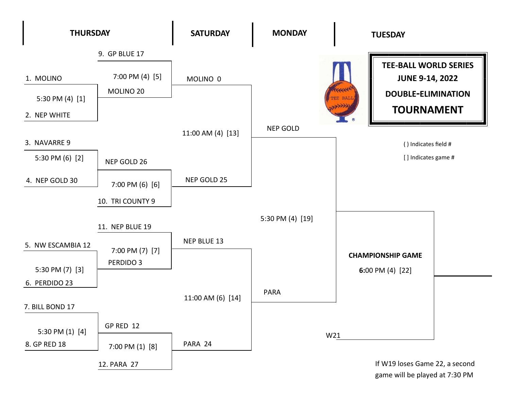

game will be played at 7:30 PM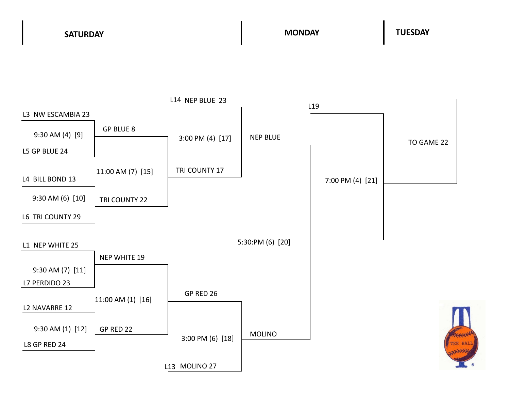**SATURDAY MONDAY TUESDAY**